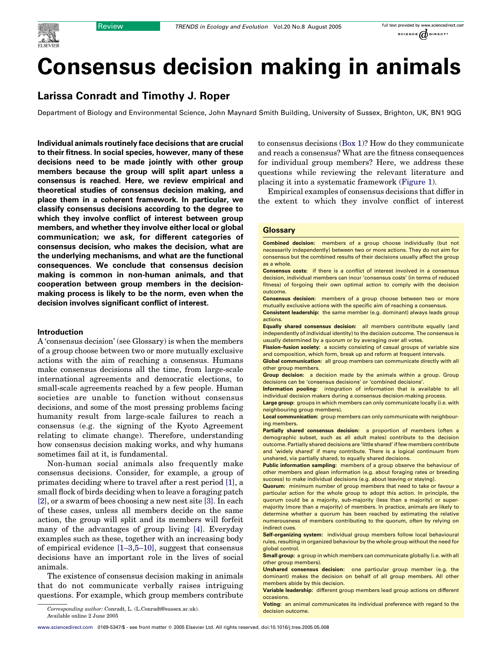

# Larissa Conradt and Timothy J. Roper

Department of Biology and Environmental Science, John Maynard Smith Building, University of Sussex, Brighton, UK, BN1 9QG

Individual animals routinely face decisions that are crucial to their fitness. In social species, however, many of these decisions need to be made jointly with other group members because the group will split apart unless a consensus is reached. Here, we review empirical and theoretical studies of consensus decision making, and place them in a coherent framework. In particular, we classify consensus decisions according to the degree to which they involve conflict of interest between group members, and whether they involve either local or global communication; we ask, for different categories of consensus decision, who makes the decision, what are the underlying mechanisms, and what are the functional consequences. We conclude that consensus decision making is common in non-human animals, and that cooperation between group members in the decisionmaking process is likely to be the norm, even when the decision involves significant conflict of interest.

## Introduction

A 'consensus decision' (see Glossary) is when the members of a group choose between two or more mutually exclusive actions with the aim of reaching a consensus. Humans make consensus decisions all the time, from large-scale international agreements and democratic elections, to small-scale agreements reached by a few people. Human societies are unable to function without consensus decisions, and some of the most pressing problems facing humanity result from large-scale failures to reach a consensus (e.g. the signing of the Kyoto Agreement relating to climate change). Therefore, understanding how consensus decision making works, and why humans sometimes fail at it, is fundamental.

Non-human social animals also frequently make consensus decisions. Consider, for example, a group of primates deciding where to travel after a rest period [\[1\],](#page-6-0) a small flock of birds deciding when to leave a foraging patch [\[2\]](#page-6-0), or a swarm of bees choosing a new nest site [\[3\]](#page-6-0). In each of these cases, unless all members decide on the same action, the group will split and its members will forfeit many of the advantages of group living [\[4\]](#page-6-0). Everyday examples such as these, together with an increasing body of empirical evidence [\[1–3,5–10\]](#page-6-0), suggest that consensus decisions have an important role in the lives of social animals.

The existence of consensus decision making in animals that do not communicate verbally raises intriguing questions. For example, which group members contribute to consensus decisions (Box 1)? How do they communicate and reach a consensus? What are the fitness consequences for individual group members? Here, we address these questions while reviewing the relevant literature and placing it into a systematic framework [\(Figure 1](#page-2-0)).

Empirical examples of consensus decisions that differ in the extent to which they involve conflict of interest

#### **Glossary**

Combined decision: members of a group choose individually (but not necessarily independently) between two or more actions. They do not aim for consensus but the combined results of their decisions usually affect the group as a whole.

Consensus costs: if there is a conflict of interest involved in a consensus decision, individual members can incur 'consensus costs' (in terms of reduced fitness) of forgoing their own optimal action to comply with the decision outcome.

Consensus decision: members of a group choose between two or more mutually exclusive actions with the specific aim of reaching a consensus.

Consistent leadership: the same member (e.g. dominant) always leads group actions.

Equally shared consensus decision: all members contribute equally (and independently of individual identity) to the decision outcome. The consensus is usually determined by a quorum or by averaging over all votes.

Fission-fusion society: a society consisting of casual groups of variable size and composition, which form, break up and reform at frequent intervals.

Global communication: all group members can communicate directly with all other group members.

Group decision: a decision made by the animals within a group. Group decisions can be 'consensus decisions' or 'combined decisions'.

Information pooling: integration of information that is available to all individual decision makers during a consensus decision-making process.

Large group: groups in which members can only communicate locally (i.e. with neighbouring group members).

Local communication: group members can only communicate with neighbouring members.

Partially shared consensus decision: a proportion of members (often a demographic subset, such as all adult males) contribute to the decision outcome. Partially shared decisions are 'little shared' if few members contribute and 'widely shared' if many contribute. There is a logical continuum from unshared, via partially shared, to equally shared decisions.

Public information sampling: members of a group observe the behaviour of other members and glean information (e.g. about foraging rates or breeding success) to make individual decisions (e.g. about leaving or staying).

Quorum: minimum number of group members that need to take or favour a particular action for the whole group to adopt this action. In principle, the quorum could be a majority, sub-majority (less than a majority) or supermajority (more than a majority) of members. In practice, animals are likely to determine whether a quorum has been reached by estimating the relative numerousness of members contributing to the quorum, often by relying on indirect cues.

Self-organizing system: individual group members follow local behavioural rules, resulting in organized behaviour by the whole group without the need for global control.

Small group: a group in which members can communicate globally (i.e. with all other group members).

Unshared consensus decision: one particular group member (e.g. the dominant) makes the decision on behalf of all group members. All other members abide by this decision.

Variable leadership: different group members lead group actions on different occasions.

Voting: an animal communicates its individual preference with regard to the

Corresponding author: Conradt, L. (L.Conradt@sussex.ac.uk). The contraction outcome. Available online 2 June 2005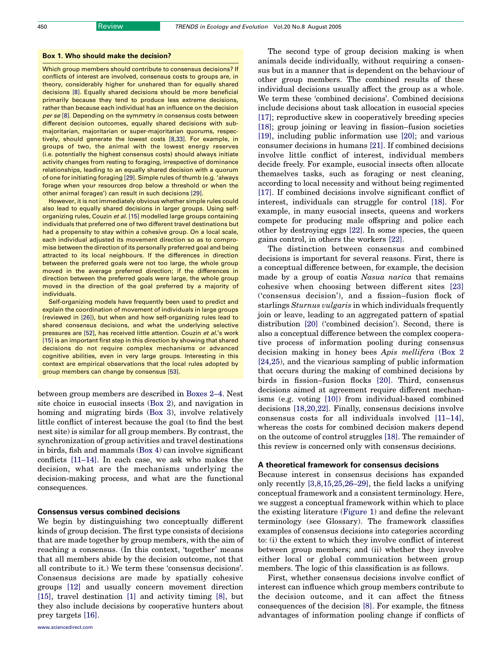#### Box 1. Who should make the decision?

Which group members should contribute to consensus decisions? If conflicts of interest are involved, consensus costs to groups are, in theory, considerably higher for unshared than for equally shared decisions [\[8\]](#page-6-0). Equally shared decisions should be more beneficial primarily because they tend to produce less extreme decisions, rather than because each individual has an influence on the decision per se [\[8\].](#page-6-0) Depending on the symmetry in consensus costs between different decision outcomes, equally shared decisions with submajoritarian, majoritarian or super-majoritarian quorums, respectively, should generate the lowest costs [\[8,33\].](#page-6-0) For example, in groups of two, the animal with the lowest energy reserves (i.e. potentially the highest consensus costs) should always initiate activity changes from resting to foraging, irrespective of dominance relationships, leading to an equally shared decision with a quorum of one for initiating foraging [\[29\].](#page-6-0) Simple rules of thumb (e.g. 'always forage when your resources drop below a threshold or when the other animal forages') can result in such decisions [\[29\]](#page-6-0).

However, it is not immediately obvious whether simple rules could also lead to equally shared decisions in larger groups. Using self-organizing rules, Couzin et al. [\[15\]](#page-6-0) modelled large groups containing individuals that preferred one of two different travel destinations but had a propensity to stay within a cohesive group. On a local scale, each individual adjusted its movement direction so as to compromise between the direction of its personally preferred goal and being attracted to its local neighbours. If the differences in direction between the preferred goals were not too large, the whole group moved in the average preferred direction; if the differences in direction between the preferred goals were large, the whole group moved in the direction of the goal preferred by a majority of individuals.

Self-organizing models have frequently been used to predict and explain the coordination of movement of individuals in large groups (reviewed in [\[26\]](#page-6-0)), but when and how self-organizing rules lead to shared consensus decisions, and what the underlying selective pressures are [\[52\]](#page-7-0), has received little attention. Couzin et al.'s work [\[15\]](#page-6-0) is an important first step in this direction by showing that shared decisions do not require complex mechanisms or advanced cognitive abilities, even in very large groups. Interesting in this context are empirical observations that the local rules adopted by group members can change by consensus [\[53\].](#page-7-0)

between group members are described in Boxes 2–4. Nest site choice in eusocial insects (Box 2), and navigation in homing and migrating birds (Box 3), involve relatively little conflict of interest because the goal (to find the best nest site) is similar for all group members. By contrast, the synchronization of group activities and travel destinations in birds, fish and mammals (Box 4) can involve significant conflicts [\[11–14\]](#page-6-0). In each case, we ask who makes the decision, what are the mechanisms underlying the decision-making process, and what are the functional consequences.

## Consensus versus combined decisions

We begin by distinguishing two conceptually different kinds of group decision. The first type consists of decisions that are made together by group members, with the aim of reaching a consensus. (In this context, 'together' means that all members abide by the decision outcome, not that all contribute to it.) We term these 'consensus decisions'. Consensus decisions are made by spatially cohesive groups [\[12\]](#page-6-0) and usually concern movement direction [\[15\],](#page-6-0) travel destination [\[1\]](#page-6-0) and activity timing [\[8\],](#page-6-0) but they also include decisions by cooperative hunters about prey targets [\[16\].](#page-6-0)

The second type of group decision making is when animals decide individually, without requiring a consensus but in a manner that is dependent on the behaviour of other group members. The combined results of these individual decisions usually affect the group as a whole. We term these 'combined decisions'. Combined decisions include decisions about task allocation in eusocial species [\[17\];](#page-6-0) reproductive skew in cooperatively breeding species [\[18\];](#page-6-0) group joining or leaving in fission–fusion societies [\[19\],](#page-6-0) including public information use [\[20\]](#page-6-0); and various consumer decisions in humans [\[21\].](#page-6-0) If combined decisions involve little conflict of interest, individual members decide freely. For example, eusocial insects often allocate themselves tasks, such as foraging or nest cleaning, according to local necessity and without being regimented [\[17\].](#page-6-0) If combined decisions involve significant conflict of interest, individuals can struggle for control [\[18\].](#page-6-0) For example, in many eusocial insects, queens and workers compete for producing male offspring and police each other by destroying eggs [\[22\]](#page-6-0). In some species, the queen gains control, in others the workers [\[22\].](#page-6-0)

The distinction between consensus and combined decisions is important for several reasons. First, there is a conceptual difference between, for example, the decision made by a group of coatis Nasua narica that remains cohesive when choosing between different sites [\[23\]](#page-6-0) ('consensus decision'), and a fission–fusion flock of starlings Sturnus vulgaris in which individuals frequently join or leave, leading to an aggregated pattern of spatial distribution [\[20\]](#page-6-0) ('combined decision'). Second, there is also a conceptual difference between the complex cooperative process of information pooling during consensus decision making in honey bees Apis mellifera (Box 2 [\[24,25\)](#page-6-0), and the vicarious sampling of public information that occurs during the making of combined decisions by birds in fission–fusion flocks [\[20\].](#page-6-0) Third, consensus decisions aimed at agreement require different mechanisms (e.g. voting [\[10\]\)](#page-6-0) from individual-based combined decisions [\[18,20,22\].](#page-6-0) Finally, consensus decisions involve consensus costs for all individuals involved [\[11–14\]](#page-6-0), whereas the costs for combined decision makers depend on the outcome of control struggles [\[18\].](#page-6-0) The remainder of this review is concerned only with consensus decisions.

## A theoretical framework for consensus decisions

Because interest in consensus decisions has expanded only recently [\[3,8,15,25,26–29\],](#page-6-0) the field lacks a unifying conceptual framework and a consistent terminology. Here, we suggest a conceptual framework within which to place the existing literature ([Figure 1](#page-2-0)) and define the relevant terminology (see Glossary). The framework classifies examples of consensus decisions into categories according to: (i) the extent to which they involve conflict of interest between group members; and (ii) whether they involve either local or global communication between group members. The logic of this classification is as follows.

First, whether consensus decisions involve conflict of interest can influence which group members contribute to the decision outcome, and it can affect the fitness consequences of the decision [\[8\]](#page-6-0). For example, the fitness advantages of information pooling change if conflicts of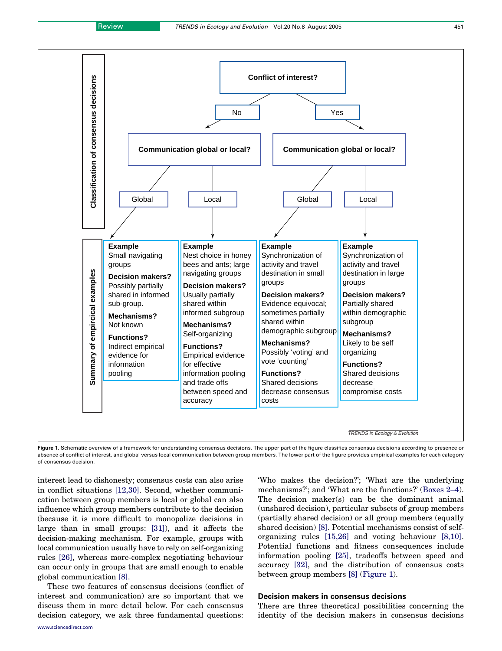<span id="page-2-0"></span>

Figure 1. Schematic overview of a framework for understanding consensus decisions. The upper part of the figure classifies consensus decisions according to presence or absence of conflict of interest, and global versus local communication between group members. The lower part of the figure provides empirical examples for each category of consensus decision.

interest lead to dishonesty; consensus costs can also arise in conflict situations [\[12,30\]](#page-6-0). Second, whether communication between group members is local or global can also influence which group members contribute to the decision (because it is more difficult to monopolize decisions in large than in small groups: [\[31\]](#page-6-0)), and it affects the decision-making mechanism. For example, groups with local communication usually have to rely on self-organizing rules [\[26\]](#page-6-0), whereas more-complex negotiating behaviour can occur only in groups that are small enough to enable global communication [\[8\]](#page-6-0).

These two features of consensus decisions (conflict of interest and communication) are so important that we discuss them in more detail below. For each consensus decision category, we ask three fundamental questions:

'Who makes the decision?'; 'What are the underlying mechanisms?'; and 'What are the functions?' (Boxes 2–4). The decision maker(s) can be the dominant animal (unshared decision), particular subsets of group members (partially shared decision) or all group members (equally shared decision) [\[8\].](#page-6-0) Potential mechanisms consist of selforganizing rules [\[15,26\]](#page-6-0) and voting behaviour [\[8,10\]](#page-6-0). Potential functions and fitness consequences include information pooling [\[25\],](#page-6-0) tradeoffs between speed and accuracy [\[32\]](#page-6-0), and the distribution of consensus costs between group members [\[8\]](#page-6-0) (Figure 1).

## Decision makers in consensus decisions

There are three theoretical possibilities concerning the identity of the decision makers in consensus decisions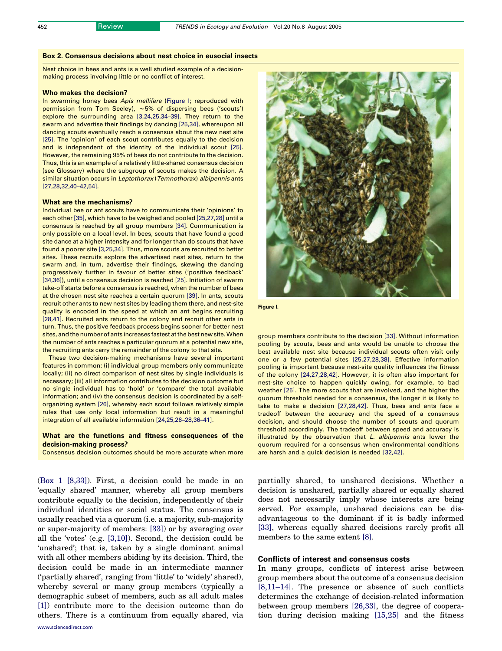## Box 2. Consensus decisions about nest choice in eusocial insects

Nest choice in bees and ants is a well studied example of a decisionmaking process involving little or no conflict of interest.

#### Who makes the decision?

In swarming honey bees Apis mellifera (Figure I; reproduced with permission from Tom Seeley), *w*5% of dispersing bees ('scouts') explore the surrounding area [\[3,24,25,34–39\]](#page-6-0). They return to the swarm and advertise their findings by dancing [\[25,34\],](#page-6-0) whereupon all dancing scouts eventually reach a consensus about the new nest site [\[25\]](#page-6-0). The 'opinion' of each scout contributes equally to the decision and is independent of the identity of the individual scout [\[25\].](#page-6-0) However, the remaining 95% of bees do not contribute to the decision. Thus, this is an example of a relatively little-shared consensus decision (see Glossary) where the subgroup of scouts makes the decision. A similar situation occurs in Leptothorax (Temnothorax) albipennis ants [\[27,28,32,40–42,54\]](#page-6-0).

#### What are the mechanisms?

Individual bee or ant scouts have to communicate their 'opinions' to each other [\[35\]](#page-7-0), which have to be weighed and pooled [\[25,27,28\]](#page-6-0) until a consensus is reached by all group members [\[34\].](#page-7-0) Communication is only possible on a local level. In bees, scouts that have found a good site dance at a higher intensity and for longer than do scouts that have found a poorer site [\[3,25,34\]](#page-6-0). Thus, more scouts are recruited to better sites. These recruits explore the advertised nest sites, return to the swarm and, in turn, advertise their findings, skewing the dancing progressively further in favour of better sites ('positive feedback' [\[34,36\]](#page-7-0)), until a consensus decision is reached [\[25\].](#page-6-0) Initiation of swarm take-off starts before a consensus is reached, when the number of bees at the chosen nest site reaches a certain quorum [\[39\].](#page-7-0) In ants, scouts recruit other ants to new nest sites by leading them there, and nest-site quality is encoded in the speed at which an ant begins recruiting [\[28,41\]](#page-6-0). Recruited ants return to the colony and recruit other ants in turn. Thus, the positive feedback process begins sooner for better nest sites, and the number of ants increases fastest at the best new site.When the number of ants reaches a particular quorum at a potential new site, the recruiting ants carry the remainder of the colony to that site.

These two decision-making mechanisms have several important features in common: (i) individual group members only communicate locally; (ii) no direct comparison of nest sites by single individuals is necessary; (iii) all information contributes to the decision outcome but no single individual has to 'hold' or 'compare' the total available information; and (iv) the consensus decision is coordinated by a selforganizing system [\[26\],](#page-6-0) whereby each scout follows relatively simple rules that use only local information but result in a meaningful integration of all available information [\[24,25,26–28,36–41\].](#page-6-0)

#### What are the functions and fitness consequences of the decision-making process?

Consensus decision outcomes should be more accurate when more

(Box 1 [\[8,33\]](#page-6-0)). First, a decision could be made in an 'equally shared' manner, whereby all group members contribute equally to the decision, independently of their individual identities or social status. The consensus is usually reached via a quorum (i.e. a majority, sub-majority or super-majority of members: [\[33\]](#page-6-0)) or by averaging over all the 'votes' (e.g. [\[3,10\]\)](#page-6-0). Second, the decision could be 'unshared'; that is, taken by a single dominant animal with all other members abiding by its decision. Third, the decision could be made in an intermediate manner ('partially shared', ranging from 'little' to 'widely' shared), whereby several or many group members (typically a demographic subset of members, such as all adult males [\[1\]](#page-6-0)) contribute more to the decision outcome than do others. There is a continuum from equally shared, via





group members contribute to the decision [\[33\]](#page-6-0). Without information pooling by scouts, bees and ants would be unable to choose the best available nest site because individual scouts often visit only one or a few potential sites [\[25,27,28,38\]](#page-6-0). Effective information pooling is important because nest-site quality influences the fitness of the colony [\[24,27,28,42\]](#page-6-0). However, it is often also important for nest-site choice to happen quickly owing, for example, to bad weather [\[25\].](#page-6-0) The more scouts that are involved, and the higher the quorum threshold needed for a consensus, the longer it is likely to take to make a decision [\[27,28,42\]](#page-6-0). Thus, bees and ants face a tradeoff between the accuracy and the speed of a consensus decision, and should choose the number of scouts and quorum threshold accordingly. The tradeoff between speed and accuracy is illustrated by the observation that L. albipennis ants lower the quorum required for a consensus when environmental conditions are harsh and a quick decision is needed [\[32,42\]](#page-6-0).

partially shared, to unshared decisions. Whether a decision is unshared, partially shared or equally shared does not necessarily imply whose interests are being served. For example, unshared decisions can be disadvantageous to the dominant if it is badly informed [\[33\],](#page-6-0) whereas equally shared decisions rarely profit all members to the same extent [\[8\]](#page-6-0).

## Conflicts of interest and consensus costs

In many groups, conflicts of interest arise between group members about the outcome of a consensus decision [\[8,11–14\]](#page-6-0). The presence or absence of such conflicts determines the exchange of decision-related information between group members [\[26,33\],](#page-6-0) the degree of cooperation during decision making [\[15,25\]](#page-6-0) and the fitness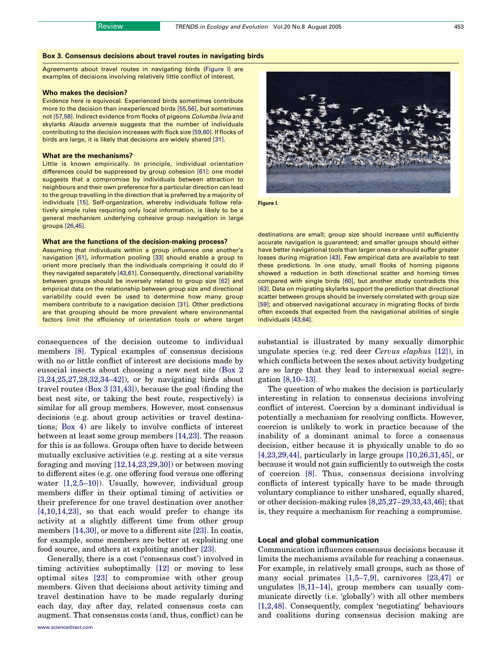#### Box 3. Consensus decisions about travel routes in navigating birds

Agreements about travel routes in navigating birds (Figure I) are examples of decisions involving relatively little conflict of interest.

#### Who makes the decision?

Evidence here is equivocal. Experienced birds sometimes contribute more to the decision than inexperienced birds [\[55,56\],](#page-7-0) but sometimes not [\[57,58\].](#page-7-0) Indirect evidence from flocks of pigeons Columba livia and skylarks Alauda arvensis suggests that the number of individuals contributing to the decision increases with flock size [\[59,60\]](#page-7-0). If flocks of birds are large, it is likely that decisions are widely shared [\[31\]](#page-6-0).

#### What are the mechanisms?

Little is known empirically. In principle, individual orientation differences could be suppressed by group cohesion [\[61\]:](#page-7-0) one model suggests that a compromise by individuals between attraction to neighbours and their own preference for a particular direction can lead to the group travelling in the direction that is preferred by a majority of individuals [\[15\]](#page-6-0). Self-organization, whereby individuals follow relatively simple rules requiring only local information, is likely to be a general mechanism underlying cohesive group navigation in large groups [\[26,45\].](#page-6-0)

#### What are the functions of the decision-making process?

Assuming that individuals within a group influence one another's navigation [\[61\],](#page-7-0) information pooling [\[33\]](#page-6-0) should enable a group to orient more precisely than the individuals comprising it could do if they navigated separately [\[43,61\].](#page-7-0) Consequently, directional variability between groups should be inversely related to group size [\[62\]](#page-7-0) and empirical data on the relationship between group size and directional variability could even be used to determine how many group members contribute to a navigation decision [\[31\].](#page-6-0) Other predictions are that grouping should be more prevalent where environmental factors limit the efficiency of orientation tools or where target

consequences of the decision outcome to individual members [\[8\].](#page-6-0) Typical examples of consensus decisions with no or little conflict of interest are decisions made by eusocial insects about choosing a new nest site (Box 2 [\[3,24,25,27,28,32,34–42\]\)](#page-6-0), or by navigating birds about travel routes (Box 3 [\[31,43\]\)](#page-6-0), because the goal (finding the best nest site, or taking the best route, respectively) is similar for all group members. However, most consensus decisions (e.g. about group activities or travel destinations; Box 4) are likely to involve conflicts of interest between at least some group members [\[14,23\].](#page-6-0) The reason for this is as follows. Groups often have to decide between mutually exclusive activities (e.g. resting at a site versus foraging and moving [\[12,14,23,29,30\]](#page-6-0)) or between moving to different sites (e.g. one offering food versus one offering water [\[1,2,5–10\]\)](#page-6-0). Usually, however, individual group members differ in their optimal timing of activities or their preference for one travel destination over another [\[4,10,14,23\],](#page-6-0) so that each would prefer to change its activity at a slightly different time from other group members [\[14,30\],](#page-6-0) or move to a different site [\[23\]](#page-6-0). In coatis, for example, some members are better at exploiting one food source, and others at exploiting another [\[23\].](#page-6-0)

Generally, there is a cost ('consensus cost') involved in timing activities suboptimally [\[12\]](#page-6-0) or moving to less optimal sites [\[23\]](#page-6-0) to compromise with other group members. Given that decisions about activity timing and travel destination have to be made regularly during each day, day after day, related consensus costs can augment. That consensus costs (and, thus, conflict) can be



Figure I.

destinations are small; group size should increase until sufficiently accurate navigation is guaranteed; and smaller groups should either have better navigational tools than larger ones or should suffer greater losses during migration [\[43\]](#page-7-0). Few empirical data are available to test these predictions. In one study, small flocks of homing pigeons showed a reduction in both directional scatter and homing times compared with single birds [\[60\]](#page-7-0), but another study contradicts this [\[63\]](#page-7-0). Data on migrating skylarks support the prediction that directional scatter between groups should be inversely correlated with group size [\[59\]](#page-7-0); and observed navigational accuracy in migrating flocks of birds often exceeds that expected from the navigational abilities of single individuals [\[43,64\]](#page-7-0).

substantial is illustrated by many sexually dimorphic ungulate species (e.g. red deer Cervus elaphus [\[12\]](#page-6-0)), in which conflicts between the sexes about activity budgeting are so large that they lead to intersexual social segregation [\[8,10–13\]](#page-6-0).

The question of who makes the decision is particularly interesting in relation to consensus decisions involving conflict of interest. Coercion by a dominant individual is potentially a mechanism for resolving conflicts. However, coercion is unlikely to work in practice because of the inability of a dominant animal to force a consensus decision, either because it is physically unable to do so [\[4,23,29,44\],](#page-6-0) particularly in large groups [\[10,26,31,45\]](#page-6-0), or because it would not gain sufficiently to outweigh the costs of coercion [\[8\]](#page-6-0). Thus, consensus decisions involving conflicts of interest typically have to be made through voluntary compliance to either unshared, equally shared, or other decision-making rules [\[8,25,27–29,33,43,46\];](#page-6-0) that is, they require a mechanism for reaching a compromise.

## Local and global communication

Communication influences consensus decisions because it limits the mechanisms available for reaching a consensus. For example, in relatively small groups, such as those of many social primates [\[1,5–7,9\],](#page-6-0) carnivores [\[23,47\]](#page-6-0) or ungulates [\[8,11–14\]](#page-6-0), group members can usually communicate directly (i.e. 'globally') with all other members [\[1,2,48\]](#page-6-0). Consequently, complex 'negotiating' behaviours and coalitions during consensus decision making are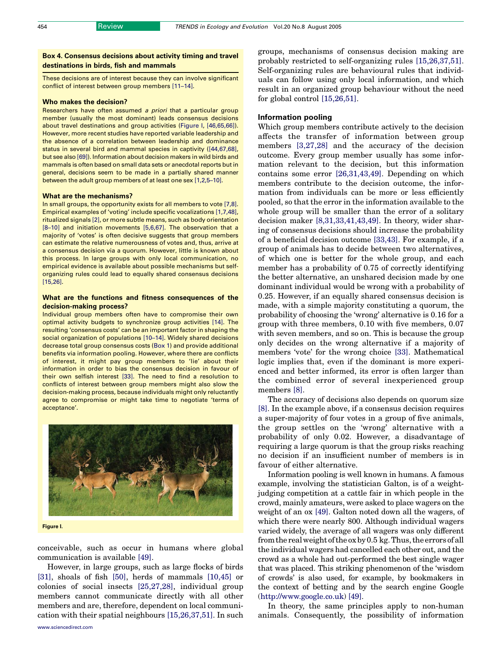Box 4. Consensus decisions about activity timing and travel destinations in birds, fish and mammals

These decisions are of interest because they can involve significant conflict of interest between group members [\[11–14\]](#page-6-0).

#### Who makes the decision?

Researchers have often assumed a priori that a particular group member (usually the most dominant) leads consensus decisions about travel destinations and group activities (Figure I, [\[46,65,66\]](#page-7-0)). However, more recent studies have reported variable leadership and the absence of a correlation between leadership and dominance status in several bird and mammal species in captivity ([\[44,67,68\],](#page-7-0) but see also [\[69\]\)](#page-7-0). Information about decision makers in wild birds and mammals is often based on small data sets or anecdotal reports but in general, decisions seem to be made in a partially shared manner between the adult group members of at least one sex [\[1,2,5–10\]](#page-6-0).

#### What are the mechanisms?

In small groups, the opportunity exists for all members to vote [\[7,8\].](#page-6-0) Empirical examples of 'voting' include specific vocalizations [\[1,7,48\],](#page-6-0) ritualized signals [\[2\],](#page-6-0) or more subtle means, such as body orientation [\[8–10\]](#page-6-0) and initiation movements [\[5,6,67\]](#page-6-0). The observation that a majority of 'votes' is often decisive suggests that group members can estimate the relative numerousness of votes and, thus, arrive at a consensus decision via a quorum. However, little is known about this process. In large groups with only local communication, no empirical evidence is available about possible mechanisms but selforganizing rules could lead to equally shared consensus decisions [\[15,26\]](#page-6-0).

### What are the functions and fitness consequences of the decision-making process?

Individual group members often have to compromise their own optimal activity budgets to synchronize group activities [\[14\]](#page-6-0). The resulting 'consensus costs' can be an important factor in shaping the social organization of populations [\[10–14\]](#page-6-0). Widely shared decisions decrease total group consensus costs (Box 1) and provide additional benefits via information pooling. However, where there are conflicts of interest, it might pay group members to 'lie' about their information in order to bias the consensus decision in favour of their own selfish interest [\[33\]](#page-6-0). The need to find a resolution to conflicts of interest between group members might also slow the decision-making process, because individuals might only reluctantly agree to compromise or might take time to negotiate 'terms of acceptance'.



conceivable, such as occur in humans where global communication is available [\[49\].](#page-7-0)

However, in large groups, such as large flocks of birds [\[31\],](#page-6-0) shoals of fish [\[50\],](#page-7-0) herds of mammals [\[10,45\]](#page-6-0) or colonies of social insects [\[25,27,28\]](#page-6-0), individual group members cannot communicate directly with all other members and are, therefore, dependent on local communication with their spatial neighbours [\[15,26,37,51\].](#page-6-0) In such groups, mechanisms of consensus decision making are probably restricted to self-organizing rules [\[15,26,37,51\]](#page-6-0). Self-organizing rules are behavioural rules that individuals can follow using only local information, and which result in an organized group behaviour without the need for global control [\[15,26,51\]](#page-6-0).

#### Information pooling

Which group members contribute actively to the decision affects the transfer of information between group members [\[3,27,28\]](#page-6-0) and the accuracy of the decision outcome. Every group member usually has some information relevant to the decision, but this information contains some error [\[26,31,43,49\].](#page-6-0) Depending on which members contribute to the decision outcome, the information from individuals can be more or less efficiently pooled, so that the error in the information available to the whole group will be smaller than the error of a solitary decision maker [\[8,31,33,41,43,49\]](#page-6-0). In theory, wider sharing of consensus decisions should increase the probability of a beneficial decision outcome [\[33,43\].](#page-6-0) For example, if a group of animals has to decide between two alternatives, of which one is better for the whole group, and each member has a probability of 0.75 of correctly identifying the better alternative, an unshared decision made by one dominant individual would be wrong with a probability of 0.25. However, if an equally shared consensus decision is made, with a simple majority constituting a quorum, the probability of choosing the 'wrong' alternative is 0.16 for a group with three members, 0.10 with five members, 0.07 with seven members, and so on. This is because the group only decides on the wrong alternative if a majority of members 'vote' for the wrong choice [\[33\]](#page-6-0). Mathematical logic implies that, even if the dominant is more experienced and better informed, its error is often larger than the combined error of several inexperienced group members [\[8\]](#page-6-0).

The accuracy of decisions also depends on quorum size [\[8\]](#page-6-0). In the example above, if a consensus decision requires a super-majority of four votes in a group of five animals, the group settles on the 'wrong' alternative with a probability of only 0.02. However, a disadvantage of requiring a large quorum is that the group risks reaching no decision if an insufficient number of members is in favour of either alternative.

Information pooling is well known in humans. A famous example, involving the statistician Galton, is of a weightjudging competition at a cattle fair in which people in the crowd, mainly amateurs, were asked to place wagers on the weight of an ox [\[49\].](#page-7-0) Galton noted down all the wagers, of which there were nearly 800. Although individual wagers varied widely, the average of all wagers was only different from the real weight of the ox by 0.5 kg. Thus, the errors of all the individual wagers had cancelled each other out, and the crowd as a whole had out-performed the best single wager that was placed. This striking phenomenon of the 'wisdom of crowds' is also used, for example, by bookmakers in the context of betting and by the search engine Google (<http://www.google.co.uk>) [\[49\]](#page-7-0).

In theory, the same principles apply to non-human animals. Consequently, the possibility of information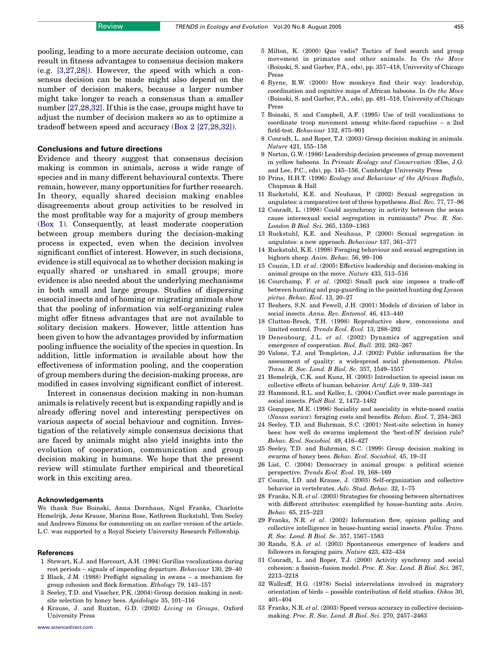<span id="page-6-0"></span>pooling, leading to a more accurate decision outcome, can result in fitness advantages to consensus decision makers (e.g. [3,27,28]). However, the speed with which a consensus decision can be made might also depend on the number of decision makers, because a larger number might take longer to reach a consensus than a smaller number [27,28,32]. If this is the case, groups might have to adjust the number of decision makers so as to optimize a tradeoff between speed and accuracy (Box 2 [27,28,32]).

#### Conclusions and future directions

Evidence and theory suggest that consensus decision making is common in animals, across a wide range of species and in many different behavioural contexts. There remain, however, many opportunities for further research. In theory, equally shared decision making enables disagreements about group activities to be resolved in the most profitable way for a majority of group members (Box 1). Consequently, at least moderate cooperation between group members during the decision-making process is expected, even when the decision involves significant conflict of interest. However, in such decisions, evidence is still equivocal as to whether decision making is equally shared or unshared in small groups; more evidence is also needed about the underlying mechanisms in both small and large groups. Studies of dispersing eusocial insects and of homing or migrating animals show that the pooling of information via self-organizing rules might offer fitness advantages that are not available to solitary decision makers. However, little attention has been given to how the advantages provided by information pooling influence the sociality of the species in question. In addition, little information is available about how the effectiveness of information pooling, and the cooperation of group members during the decision-making process, are modified in cases involving significant conflict of interest.

Interest in consensus decision making in non-human animals is relatively recent but is expanding rapidly and is already offering novel and interesting perspectives on various aspects of social behaviour and cognition. Investigation of the relatively simple consensus decisions that are faced by animals might also yield insights into the evolution of cooperation, communication and group decision making in humans. We hope that the present review will stimulate further empirical and theoretical work in this exciting area.

#### Acknowledgements

We thank Sue Boinski, Anna Dornhaus, Nigel Franks, Charlotte Hemelrijk, Jens Krause, Marina Rose, Kathreen Ruckstuhl, Tom Seeley and Andrews Simons for commenting on an earlier version of the article. L.C. was supported by a Royal Society University Research Fellowship.

#### **References**

- 1 Stewart, K.J. and Harcourt, A.H. (1994) Gorillas vocalizations during rest periods – signals of impending departure. Behaviour 130, 29–40
- 2 Black, J.M. (1988) Preflight signaling in swans a mechanism for group cohesion and flock formation. Ethology 79, 143–157
- 3 Seeley, T.D. and Visscher, P.K. (2004) Group decision making in nestsite selection by honey bees. Apidologie 35, 101–116
- 4 Krause, J. and Ruxton, G.D. (2002) Living in Groups, Oxford University Press
- [www.sciencedirect.com](http://www.sciencedirect.com)
- 5 Milton, K. (2000) Quo vadis? Tactics of food search and group movement in primates and other animals. In On the Move (Boinski, S. and Garber, P.A., eds), pp. 357–418, University of Chicago Press
- 6 Byrne, R.W. (2000) How monkeys find their way: leadership, coordination and cognitive maps of African baboons. In On the Move (Boinski, S. and Garber, P.A., eds), pp. 491–518, University of Chicago Press
- 7 Boinski, S. and Campbell, A.F. (1995) Use of trill vocalizations to coordinate troop movement among white-faced capuchins – a 2nd field-test. Behaviour 132, 875–901
- 8 Conradt, L. and Roper, T.J. (2003) Group decision making in animals. Nature 421, 155–158
- 9 Norton, G.W. (1986) Leadership decision processes of group movement in yellow baboons. In Primate Ecology and Conservation (Else, J.G. and Lee, P.C., eds), pp. 145–156, Cambridge University Press
- 10 Prins, H.H.T. (1996) Ecology and Behaviour of the African Buffalo, Chapman & Hall
- 11 Ruckstuhl, K.E. and Neuhaus, P. (2002) Sexual segregation in ungulates: a comparative test of three hypotheses. Biol. Rev. 77, 77–96
- 12 Conradt, L. (1998) Could asynchrony in activity between the sexes cause intersexual social segregation in ruminants? Proc. R. Soc. London B Biol. Sci. 265, 1359–1363
- 13 Ruckstuhl, K.E. and Neuhaus, P. (2000) Sexual segregation in ungulates: a new approach. Behaviour 137, 361–377
- 14 Ruckstuhl, K.E. (1998) Foraging behaviour and sexual segregation in bighorn sheep. Anim. Behav. 56, 99–106
- 15 Couzin, I.D. et al. (2005) Effective leadership and decision-making in animal groups on the move. Nature 433, 513–516
- 16 Courchamp, F. et al. (2002) Small pack size imposes a trade-off between hunting and pup-guarding in the painted hunting dog Lycaon pictus. Behav. Ecol. 13, 20–27
- 17 Beshers, S.N. and Fewell, J.H. (2001) Models of division of labor in social insects. Annu. Rev. Entomol. 46, 413–440
- 18 Clutton-Brock, T.H. (1998) Reproductive skew, concessions and limited control. Trends Ecol. Evol. 13, 288–292
- 19 Deneubourg, J.L. et al. (2002) Dynamics of aggregation and emergence of cooperation. Biol. Bull. 202, 262–267
- 20 Valone, T.J. and Templeton, J.J. (2002) Public information for the assessment of quality: a widespread social phenomenon. Philos. Trans. R. Soc. Lond. B Biol. Sc. 357, 1549–1557
- 21 Hemelrijk, C.K. and Kunz, H. (2003) Introduction to special issue on collective effects of human behavior. Artif. Life 9, 339–341
- 22 Hammond, R.L. and Keller, L. (2004) Conflict over male parentage in social insects. PloS Biol. 2, 1472–1482
- 23 Gompper, M.E. (1996) Sociality and asociality in white-nosed coatis (Nasua narica): foraging costs and benefits. Behav. Ecol. 7, 254–263
- 24 Seeley, T.D. and Buhrman, S.C. (2001) Nest-site selection in honey bees: how well do swarms implement the 'best-of-N' decision rule? Behav. Ecol. Sociobiol. 49, 416–427
- 25 Seeley, T.D. and Buhrman, S.C. (1999) Group decision making in swarms of honey bees. Behav. Ecol. Sociobiol. 45, 19–31
- 26 List, C. (2004) Democracy in animal groups: a political science perspective. Trends Ecol. Evol. 19, 168–169
- 27 Couzin, I.D. and Krause, J. (2003) Self-organization and collective behavior in vertebrates. Adv. Stud. Behav. 32, 1–75
- 28 Franks, N.R. et al. (2003) Strategies for choosing between alternatives with different attributes: exemplified by house-hunting ants. Anim. Behav. 65, 215–223
- 29 Franks, N.R. et al. (2002) Information flow, opinion polling and collective intelligence in house-hunting social insects. Philos. Trans. R. Soc. Lond. B Biol. Sc. 357, 1567–1583
- 30 Rands, S.A. et al. (2003) Spontaneous emergence of leaders and followers in foraging pairs. Nature 423, 432–434
- 31 Conradt, L. and Roper, T.J. (2000) Activity synchrony and social cohesion: a fission–fusion model. Proc. R. Soc. Lond. B Biol. Sci. 267, 2213–2218
- 32 Wallraff, H.G. (1978) Social interrelations involved in migratory orientation of birds – possible contribution of field studies. Oikos 30, 401–404
- 33 Franks, N.R. et al. (2003) Speed versus accuracy in collective decisionmaking. Proc. R. Soc. Lond. B Biol. Sci. 270, 2457–2463